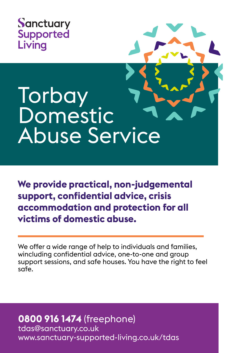

## **Torbay Domestic** Abuse Service

**We provide practical, non-judgemental support, confidential advice, crisis accommodation and protection for all victims of domestic abuse.**

We offer a wide range of help to individuals and families, wincluding confidential advice, one-to-one and group support sessions, and safe houses. You have the right to feel safe.

**0800 916 1474** (freephone) tdas@sanctuary.co.uk www.sanctuary-supported-living.co.uk/tdas